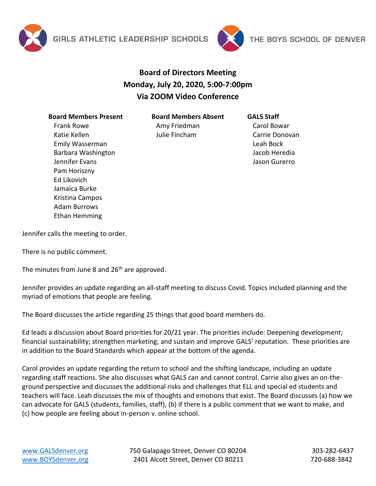



## **Board of Directors Meeting Monday, July 20, 2020, 5:00-7:00pm Via ZOOM Video Conference**

## **Board Members Present** Frank Rowe Katie Kellen Emily Wasserman Barbara Washington Jennifer Evans Pam Horiszny Ed Likovich Jamaica Burke Kristina Campos Adam Burrows Ethan Hemming

**Board Members Absent**

Amy Friedman Julie Fincham

## **GALS Staff**

Carol Bowar Carrie Donovan Leah Bock Jacob Heredia Jason Gurerro

Jennifer calls the meeting to order.

There is no public comment.

The minutes from June 8 and  $26<sup>th</sup>$  are approved.

Jennifer provides an update regarding an all-staff meeting to discuss Covid. Topics included planning and the myriad of emotions that people are feeling.

The Board discusses the article regarding 25 things that good board members do.

Ed leads a discussion about Board priorities for 20/21 year. The priorities include: Deepening development; financial sustainability; strengthen marketing; and sustain and improve GALS' reputation. These priorities are in addition to the Board Standards which appear at the bottom of the agenda.

Carol provides an update regarding the return to school and the shifting landscape, including an update regarding staff reactions. She also discusses what GALS can and cannot control. Carrie also gives an on-theground perspective and discusses the additional risks and challenges that ELL and special ed students and teachers will face. Leah discusses the mix of thoughts and emotions that exist. The Board discusses (a) how we can advocate for GALS (students, families, staff), (b) if there is a public comment that we want to make, and (c) how people are feeling about in-person v. online school.

[www.GALSdenver.org](http://www.galsdenver.org/) **750 Galapago Street, Denver CO 80204** 303-282-6437 [www.BOYSdenver.org](http://www.boysdenver.org/) 2401 Alcott Street, Denver CO 80211 720-688-3842